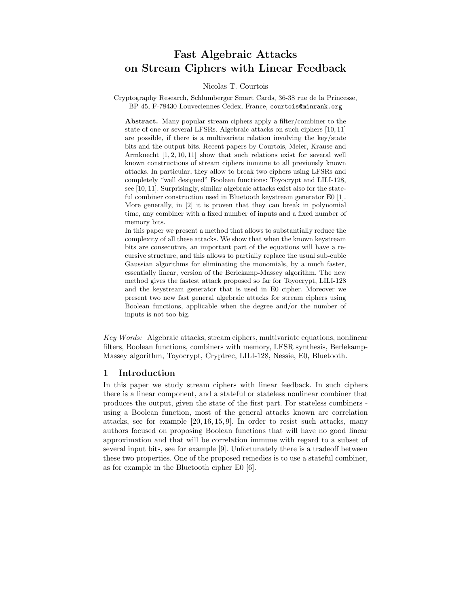# Fast Algebraic Attacks on Stream Ciphers with Linear Feedback

#### Nicolas T. Courtois

Cryptography Research, Schlumberger Smart Cards, 36-38 rue de la Princesse, BP 45, F-78430 Louveciennes Cedex, France, courtois@minrank.org

Abstract. Many popular stream ciphers apply a filter/combiner to the state of one or several LFSRs. Algebraic attacks on such ciphers [10, 11] are possible, if there is a multivariate relation involving the key/state bits and the output bits. Recent papers by Courtois, Meier, Krause and Armknecht [1, 2, 10, 11] show that such relations exist for several well known constructions of stream ciphers immune to all previously known attacks. In particular, they allow to break two ciphers using LFSRs and completely "well designed" Boolean functions: Toyocrypt and LILI-128, see [10, 11]. Surprisingly, similar algebraic attacks exist also for the stateful combiner construction used in Bluetooth keystream generator E0 [1]. More generally, in [2] it is proven that they can break in polynomial time, any combiner with a fixed number of inputs and a fixed number of memory bits.

In this paper we present a method that allows to substantially reduce the complexity of all these attacks. We show that when the known keystream bits are consecutive, an important part of the equations will have a recursive structure, and this allows to partially replace the usual sub-cubic Gaussian algorithms for eliminating the monomials, by a much faster, essentially linear, version of the Berlekamp-Massey algorithm. The new method gives the fastest attack proposed so far for Toyocrypt, LILI-128 and the keystream generator that is used in E0 cipher. Moreover we present two new fast general algebraic attacks for stream ciphers using Boolean functions, applicable when the degree and/or the number of inputs is not too big.

Key Words: Algebraic attacks, stream ciphers, multivariate equations, nonlinear filters, Boolean functions, combiners with memory, LFSR synthesis, Berlekamp-Massey algorithm, Toyocrypt, Cryptrec, LILI-128, Nessie, E0, Bluetooth.

### 1 Introduction

In this paper we study stream ciphers with linear feedback. In such ciphers there is a linear component, and a stateful or stateless nonlinear combiner that produces the output, given the state of the first part. For stateless combiners using a Boolean function, most of the general attacks known are correlation attacks, see for example [20, 16, 15, 9]. In order to resist such attacks, many authors focused on proposing Boolean functions that will have no good linear approximation and that will be correlation immune with regard to a subset of several input bits, see for example [9]. Unfortunately there is a tradeoff between these two properties. One of the proposed remedies is to use a stateful combiner, as for example in the Bluetooth cipher E0 [6].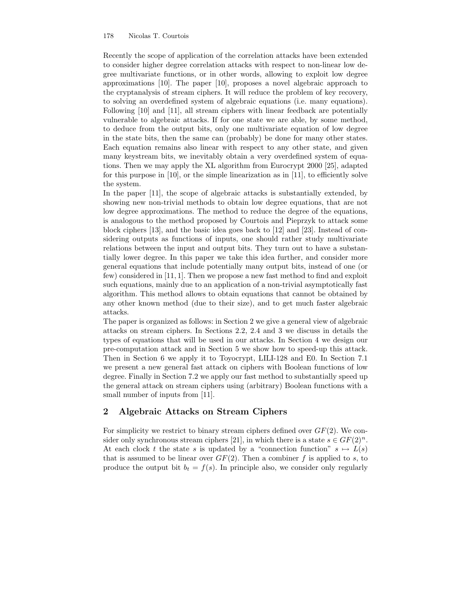Recently the scope of application of the correlation attacks have been extended to consider higher degree correlation attacks with respect to non-linear low degree multivariate functions, or in other words, allowing to exploit low degree approximations [10]. The paper [10], proposes a novel algebraic approach to the cryptanalysis of stream ciphers. It will reduce the problem of key recovery, to solving an overdefined system of algebraic equations (i.e. many equations). Following [10] and [11], all stream ciphers with linear feedback are potentially vulnerable to algebraic attacks. If for one state we are able, by some method, to deduce from the output bits, only one multivariate equation of low degree in the state bits, then the same can (probably) be done for many other states. Each equation remains also linear with respect to any other state, and given many keystream bits, we inevitably obtain a very overdefined system of equations. Then we may apply the XL algorithm from Eurocrypt 2000 [25], adapted for this purpose in  $[10]$ , or the simple linearization as in  $[11]$ , to efficiently solve the system.

In the paper [11], the scope of algebraic attacks is substantially extended, by showing new non-trivial methods to obtain low degree equations, that are not low degree approximations. The method to reduce the degree of the equations, is analogous to the method proposed by Courtois and Pieprzyk to attack some block ciphers [13], and the basic idea goes back to [12] and [23]. Instead of considering outputs as functions of inputs, one should rather study multivariate relations between the input and output bits. They turn out to have a substantially lower degree. In this paper we take this idea further, and consider more general equations that include potentially many output bits, instead of one (or few) considered in [11, 1]. Then we propose a new fast method to find and exploit such equations, mainly due to an application of a non-trivial asymptotically fast algorithm. This method allows to obtain equations that cannot be obtained by any other known method (due to their size), and to get much faster algebraic attacks.

The paper is organized as follows: in Section 2 we give a general view of algebraic attacks on stream ciphers. In Sections 2.2, 2.4 and 3 we discuss in details the types of equations that will be used in our attacks. In Section 4 we design our pre-computation attack and in Section 5 we show how to speed-up this attack. Then in Section 6 we apply it to Toyocrypt, LILI-128 and E0. In Section 7.1 we present a new general fast attack on ciphers with Boolean functions of low degree. Finally in Section 7.2 we apply our fast method to substantially speed up the general attack on stream ciphers using (arbitrary) Boolean functions with a small number of inputs from [11].

## 2 Algebraic Attacks on Stream Ciphers

For simplicity we restrict to binary stream ciphers defined over  $GF(2)$ . We consider only synchronous stream ciphers [21], in which there is a state  $s \in GF(2)^n$ . At each clock t the state s is updated by a "connection function"  $s \mapsto L(s)$ that is assumed to be linear over  $GF(2)$ . Then a combiner f is applied to s, to produce the output bit  $b_t = f(s)$ . In principle also, we consider only regularly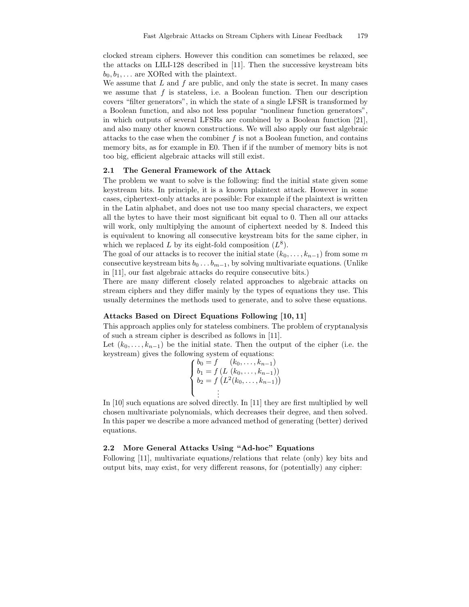clocked stream ciphers. However this condition can sometimes be relaxed, see the attacks on LILI-128 described in [11]. Then the successive keystream bits  $b_0, b_1, \ldots$  are XORed with the plaintext.

We assume that  $L$  and  $f$  are public, and only the state is secret. In many cases we assume that  $f$  is stateless, i.e. a Boolean function. Then our description covers "filter generators", in which the state of a single LFSR is transformed by a Boolean function, and also not less popular "nonlinear function generators", in which outputs of several LFSRs are combined by a Boolean function [21], and also many other known constructions. We will also apply our fast algebraic attacks to the case when the combiner  $f$  is not a Boolean function, and contains memory bits, as for example in E0. Then if if the number of memory bits is not too big, efficient algebraic attacks will still exist.

#### 2.1 The General Framework of the Attack

The problem we want to solve is the following: find the initial state given some keystream bits. In principle, it is a known plaintext attack. However in some cases, ciphertext-only attacks are possible: For example if the plaintext is written in the Latin alphabet, and does not use too many special characters, we expect all the bytes to have their most significant bit equal to 0. Then all our attacks will work, only multiplying the amount of ciphertext needed by 8. Indeed this is equivalent to knowing all consecutive keystream bits for the same cipher, in which we replaced L by its eight-fold composition  $(L^8)$ .

The goal of our attacks is to recover the initial state  $(k_0, \ldots, k_{n-1})$  from some m consecutive keystream bits  $b_0 \ldots b_{m-1}$ , by solving multivariate equations. (Unlike in [11], our fast algebraic attacks do require consecutive bits.)

There are many different closely related approaches to algebraic attacks on stream ciphers and they differ mainly by the types of equations they use. This usually determines the methods used to generate, and to solve these equations.

## Attacks Based on Direct Equations Following [10, 11]

This approach applies only for stateless combiners. The problem of cryptanalysis of such a stream cipher is described as follows in [11].

Let  $(k_0, \ldots, k_{n-1})$  be the initial state. Then the output of the cipher (i.e. the keystream) gives the following system of equations:

$$
\begin{cases}\nb_0 = f & (k_0, \dots, k_{n-1}) \\
b_1 = f (L (k_0, \dots, k_{n-1})) \\
b_2 = f (L^2 (k_0, \dots, k_{n-1})) \\
\vdots\n\end{cases}
$$

In [10] such equations are solved directly. In [11] they are first multiplied by well chosen multivariate polynomials, which decreases their degree, and then solved. In this paper we describe a more advanced method of generating (better) derived equations.

#### 2.2 More General Attacks Using "Ad-hoc" Equations

Following [11], multivariate equations/relations that relate (only) key bits and output bits, may exist, for very different reasons, for (potentially) any cipher: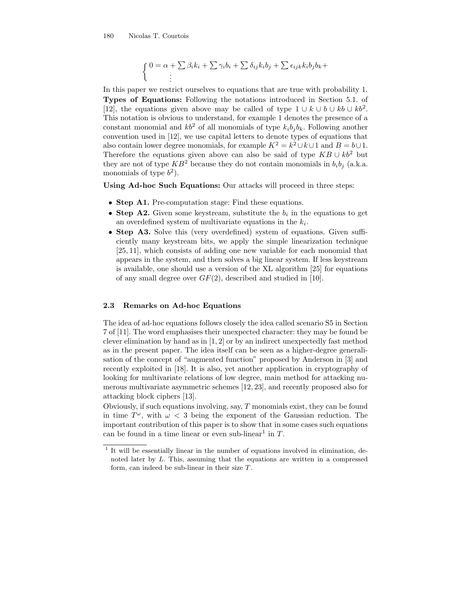$$
\begin{cases}\n0 = \alpha + \sum \beta_i k_i + \sum \gamma_i b_i + \sum \delta_{ij} k_i b_j + \sum \epsilon_{ijk} k_i b_j b_k + \\
\vdots\n\end{cases}
$$

In this paper we restrict ourselves to equations that are true with probability 1. Types of Equations: Following the notations introduced in Section 5.1. of [12], the equations given above may be called of type  $1 \cup k \cup b \cup kb \cup kb^2$ . This notation is obvious to understand, for example 1 denotes the presence of a constant monomial and  $kb^2$  of all monomials of type  $k_i b_j b_k$ . Following another convention used in [12], we use capital letters to denote types of equations that also contain lower degree monomials, for example  $K^2 = k^2 \cup k \cup 1$  and  $B = b \cup 1$ . Therefore the equations given above can also be said of type  $KB \cup kb^2$  but they are not of type  $KB^2$  because they do not contain monomials in  $b_i b_j$  (a.k.a. monomials of type  $b^2$ ).

Using Ad-hoc Such Equations: Our attacks will proceed in three steps:

- Step A1. Pre-computation stage: Find these equations.
- Step A2. Given some keystream, substitute the  $b_i$  in the equations to get an overdefined system of multivariate equations in the  $k_i$ .
- Step A3. Solve this (very overdefined) system of equations. Given sufficiently many keystream bits, we apply the simple linearization technique [25, 11], which consists of adding one new variable for each monomial that appears in the system, and then solves a big linear system. If less keystream is available, one should use a version of the XL algorithm [25] for equations of any small degree over  $GF(2)$ , described and studied in [10].

#### 2.3 Remarks on Ad-hoc Equations

The idea of ad-hoc equations follows closely the idea called scenario S5 in Section 7 of [11]. The word emphasises their unexpected character: they may be found be clever elimination by hand as in  $[1, 2]$  or by an indirect unexpectedly fast method as in the present paper. The idea itself can be seen as a higher-degree generalisation of the concept of "augmented function" proposed by Anderson in [3] and recently exploited in [18]. It is also, yet another application in cryptography of looking for multivariate relations of low degree, main method for attacking numerous multivariate asymmetric schemes [12, 23], and recently proposed also for attacking block ciphers [13].

Obviously, if such equations involving, say, T monomials exist, they can be found in time  $T^{\omega}$ , with  $\omega < 3$  being the exponent of the Gaussian reduction. The important contribution of this paper is to show that in some cases such equations can be found in a time linear or even sub-linear<sup>1</sup> in  $T$ .

<sup>&</sup>lt;sup>1</sup> It will be essentially linear in the number of equations involved in elimination, denoted later by L. This, assuming that the equations are written in a compressed form, can indeed be sub-linear in their size T.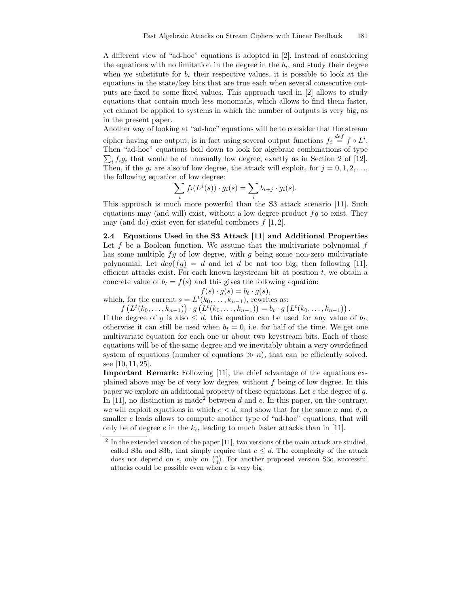A different view of "ad-hoc" equations is adopted in [2]. Instead of considering the equations with no limitation in the degree in the  $b_i$ , and study their degree when we substitute for  $b_i$  their respective values, it is possible to look at the equations in the state/key bits that are true each when several consecutive outputs are fixed to some fixed values. This approach used in [2] allows to study equations that contain much less monomials, which allows to find them faster, yet cannot be applied to systems in which the number of outputs is very big, as in the present paper.

Another way of looking at "ad-hoc" equations will be to consider that the stream cipher having one output, is in fact using several output functions  $f_i \stackrel{def}{=} f \circ L^i$ .  $\sum_i f_i g_i$  that would be of unusually low degree, exactly as in Section 2 of [12]. Then "ad-hoc" equations boil down to look for algebraic combinations of type Then, if the  $g_i$  are also of low degree, the attack will exploit, for  $j = 0, 1, 2, \ldots$ , the following equation of low degree:

$$
\sum_i f_i(L^j(s)) \cdot g_i(s) = \sum_i b_{i+j} \cdot g_i(s).
$$

This approach is much more powerful than the S3 attack scenario [11]. Such equations may (and will) exist, without a low degree product  $fg$  to exist. They may (and do) exist even for stateful combiners  $f(1, 2)$ .

2.4 Equations Used in the S3 Attack [11] and Additional Properties Let  $f$  be a Boolean function. We assume that the multivariate polynomial  $f$ has some multiple  $fg$  of low degree, with g being some non-zero multivariate polynomial. Let  $deg(fg) = d$  and let d be not too big, then following [11], efficient attacks exist. For each known keystream bit at position  $t$ , we obtain a concrete value of  $b_t = f(s)$  and this gives the following equation:

 $f(s) \cdot g(s) = b_t \cdot g(s),$ which, for the current  $s = L^t(k_0, \ldots, k_{n-1})$ , rewrites as:

 $f(L^t(k_0, ..., k_{n-1})) \cdot g(L^t(k_0, ..., k_{n-1})) = b_t \cdot g(L^t(k_0, ..., k_{n-1}))$ .

If the degree of g is also  $\leq d$ , this equation can be used for any value of  $b_t$ , otherwise it can still be used when  $b_t = 0$ , i.e. for half of the time. We get one multivariate equation for each one or about two keystream bits. Each of these equations will be of the same degree and we inevitably obtain a very overdefined system of equations (number of equations  $\gg n$ ), that can be efficiently solved, see [10, 11, 25].

Important Remark: Following [11], the chief advantage of the equations explained above may be of very low degree, without f being of low degree. In this paper we explore an additional property of these equations. Let  $e$  the degree of  $g$ . In [11], no distinction is made<sup>2</sup> between d and e. In this paper, on the contrary, we will exploit equations in which  $e < d$ , and show that for the same n and d, a smaller e leads allows to compute another type of "ad-hoc" equations, that will only be of degree  $e$  in the  $k_i$ , leading to much faster attacks than in [11].

 $2$  In the extended version of the paper [11], two versions of the main attack are studied, called S3a and S3b, that simply require that  $e \leq d$ . The complexity of the attack does not depend on e, only on  $\binom{n}{d}$ . For another proposed version S3c, successful attacks could be possible even when  $e$  is very big.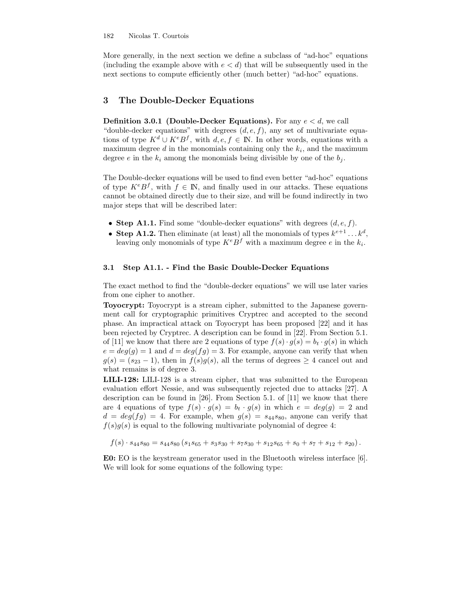More generally, in the next section we define a subclass of "ad-hoc" equations (including the example above with  $e < d$ ) that will be subsequently used in the next sections to compute efficiently other (much better) "ad-hoc" equations.

## 3 The Double-Decker Equations

**Definition 3.0.1 (Double-Decker Equations).** For any  $e < d$ , we call "double-decker equations" with degrees  $(d, e, f)$ , any set of multivariate equations of type  $K^d \cup K^e B^f$ , with  $d, e, f \in \mathbb{N}$ . In other words, equations with a maximum degree  $d$  in the monomials containing only the  $k_i$ , and the maximum degree e in the  $k_i$  among the monomials being divisible by one of the  $b_i$ .

The Double-decker equations will be used to find even better "ad-hoc" equations of type  $K^eB^f$ , with  $f \in \mathbb{N}$ , and finally used in our attacks. These equations cannot be obtained directly due to their size, and will be found indirectly in two major steps that will be described later:

- Step A1.1. Find some "double-decker equations" with degrees  $(d, e, f)$ .
- Step A1.2. Then eliminate (at least) all the monomials of types  $k^{e+1} \dots k^d$ , leaving only monomials of type  $K^eB^f$  with a maximum degree e in the  $k_i$ .

## 3.1 Step A1.1. - Find the Basic Double-Decker Equations

The exact method to find the "double-decker equations" we will use later varies from one cipher to another.

Toyocrypt: Toyocrypt is a stream cipher, submitted to the Japanese government call for cryptographic primitives Cryptrec and accepted to the second phase. An impractical attack on Toyocrypt has been proposed [22] and it has been rejected by Cryptrec. A description can be found in [22]. From Section 5.1. of [11] we know that there are 2 equations of type  $f(s) \cdot g(s) = b_t \cdot g(s)$  in which  $e = deg(g) = 1$  and  $d = deg(fg) = 3$ . For example, anyone can verify that when  $g(s) = (s_{23} - 1)$ , then in  $f(s)g(s)$ , all the terms of degrees  $\geq 4$  cancel out and what remains is of degree 3.

LILI-128: LILI-128 is a stream cipher, that was submitted to the European evaluation effort Nessie, and was subsequently rejected due to attacks [27]. A description can be found in [26]. From Section 5.1. of [11] we know that there are 4 equations of type  $f(s) \cdot g(s) = b_t \cdot g(s)$  in which  $e = deg(g) = 2$  and  $d = deg(fg) = 4$ . For example, when  $g(s) = s_{44} s_{80}$ , anyone can verify that  $f(s)g(s)$  is equal to the following multivariate polynomial of degree 4:

$$
f(s) \cdot s_{44} s_{80} = s_{44} s_{80} \left( s_1 s_{65} + s_3 s_{30} + s_7 s_{30} + s_{12} s_{65} + s_0 + s_7 + s_{12} + s_{20} \right).
$$

E0: EO is the keystream generator used in the Bluetooth wireless interface [6]. We will look for some equations of the following type: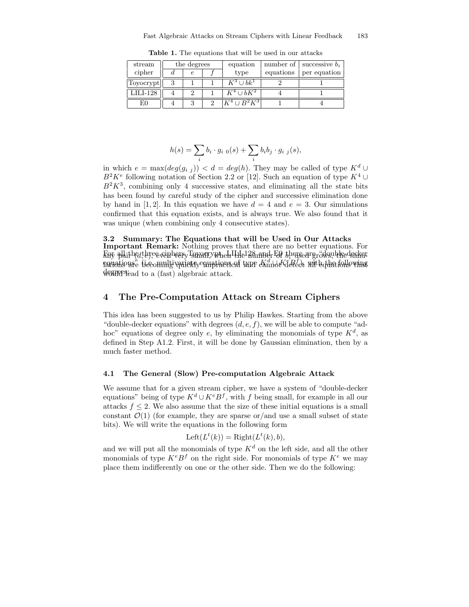| stream     | the degrees |  |   | equation          |           | number of $\vert$ successive $b_i$ |  |
|------------|-------------|--|---|-------------------|-----------|------------------------------------|--|
| cipher     |             |  |   | type              | equations | per equation                       |  |
| Toyocrypt  |             |  |   | $5^{-} \cup bk^1$ |           |                                    |  |
| $LILI-128$ |             |  |   |                   |           |                                    |  |
| ΕC         |             |  | ച | $R^2 K^3$         |           |                                    |  |

Table 1. The equations that will be used in our attacks

$$
h(s) = \sum_{i} b_i \cdot g_{i\;0}(s) + \sum_{i} b_i b_j \cdot g_{i\;j}(s),
$$

in which  $e = \max(deg(g_{i,j})) < d = deg(h)$ . They may be called of type  $K^d \cup$  $B^2K^e$  following notation of Section 2.2 or [12]. Such an equation of type  $K^4$  ∪  $B<sup>2</sup>K<sup>3</sup>$ , combining only 4 successive states, and eliminating all the state bits has been found by careful study of the cipher and successive elimination done by hand in [1, 2]. In this equation we have  $d = 4$  and  $e = 3$ . Our simulations confirmed that this equation exists, and is always true. We also found that it was unique (when combining only 4 consecutive states).

#### 3.2 Summary: The Equations that will be Used in Our Attacks

For plairheathree ceiphersy Tomarr, when the 128 man E0 there are "colsuble-decker"  $_{\rm{gali}$ ons $_{\rm{e}}$  (i.e. multivariate equations call the  $\ell_{\rm{a}}$  defect a lite of the following desire is a (fast) algebraic attack. Important Remark: Nothing proves that there are no better equations. For

## 4 The Pre-Computation Attack on Stream Ciphers

This idea has been suggested to us by Philip Hawkes. Starting from the above "double-decker equations" with degrees  $(d, e, f)$ , we will be able to compute "adhoc" equations of degree only e, by eliminating the monomials of type  $K^d$ , as defined in Step A1.2. First, it will be done by Gaussian elimination, then by a much faster method.

#### 4.1 The General (Slow) Pre-computation Algebraic Attack

We assume that for a given stream cipher, we have a system of "double-decker equations" being of type  $K^d \cup K^e B^f$ , with f being small, for example in all our attacks  $f \leq 2$ . We also assume that the size of these initial equations is a small constant  $\mathcal{O}(1)$  (for example, they are sparse or/and use a small subset of state bits). We will write the equations in the following form

$$
Left(L^t(k)) = Right(L^t(k), b),
$$

and we will put all the monomials of type  $K^d$  on the left side, and all the other monomials of type  $K^eB^f$  on the right side. For monomials of type  $K^e$  we may place them indifferently on one or the other side. Then we do the following: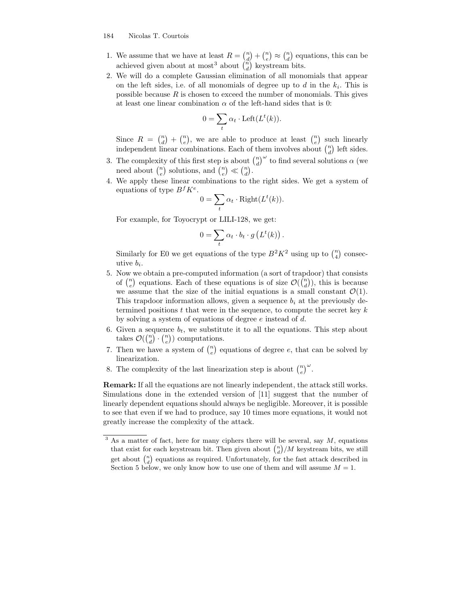- 1. We assume that we have at least  $R = \binom{n}{d} + \binom{n}{e} \approx \binom{n}{d}$  equations, this can be achieved given about at most<sup>3</sup> about  $\binom{n}{d}$  keystream bits.
- 2. We will do a complete Gaussian elimination of all monomials that appear on the left sides, i.e. of all monomials of degree up to  $d$  in the  $k_i$ . This is possible because  $R$  is chosen to exceed the number of monomials. This gives at least one linear combination  $\alpha$  of the left-hand sides that is 0:

$$
0 = \sum_{t} \alpha_t \cdot \mathrm{Left}(L^t(k)).
$$

Since  $R = \binom{n}{d} + \binom{n}{e}$ , we are able to produce at least  $\binom{n}{e}$  such linearly independent linear combinations. Each of them involves about  $\binom{n}{d}$  left sides.

- 3. The complexity of this first step is about  $\binom{n}{d}^{\omega}$  to find several solutions  $\alpha$  (we need about  $\binom{n}{e}$  solutions, and  $\binom{n}{e} \ll \binom{n}{d}$ .
- 4. We apply these linear combinations to the right sides. We get a system of equations of type  $B^f K^e$ .

$$
0 = \sum_{t} \alpha_t \cdot \text{Right}(L^t(k)).
$$

For example, for Toyocrypt or LILI-128, we get:

$$
0 = \sum_{t} \alpha_t \cdot b_t \cdot g\left(L^t(k)\right).
$$

Similarly for E0 we get equations of the type  $B^2 K^2$  using up to  $\binom{n}{4}$  consecutive  $b_i$ .

- 5. Now we obtain a pre-computed information (a sort of trapdoor) that consists of  $\binom{n}{e}$  equations. Each of these equations is of size  $\mathcal{O}(\binom{n}{d})$ , this is because we assume that the size of the initial equations is a small constant  $\mathcal{O}(1)$ . This trapdoor information allows, given a sequence  $b_i$  at the previously determined positions  $t$  that were in the sequence, to compute the secret key  $k$ by solving a system of equations of degree e instead of d.
- 6. Given a sequence  $b_t$ , we substitute it to all the equations. This step about takes  $\mathcal{O}(\binom{n}{d} \cdot \binom{n}{e})$  computations.
- 7. Then we have a system of  $\binom{n}{e}$  equations of degree e, that can be solved by linearization.
- 8. The complexity of the last linearization step is about  $\binom{n}{e}^{\omega}$ .

Remark: If all the equations are not linearly independent, the attack still works. Simulations done in the extended version of [11] suggest that the number of linearly dependent equations should always be negligible. Moreover, it is possible to see that even if we had to produce, say 10 times more equations, it would not greatly increase the complexity of the attack.

 $3$  As a matter of fact, here for many ciphers there will be several, say  $M$ , equations that exist for each keystream bit. Then given about  $\binom{n}{d}/M$  keystream bits, we still get about  $\binom{n}{d}$  equations as required. Unfortunately, for the fast attack described in Section 5 below, we only know how to use one of them and will assume  $M = 1$ .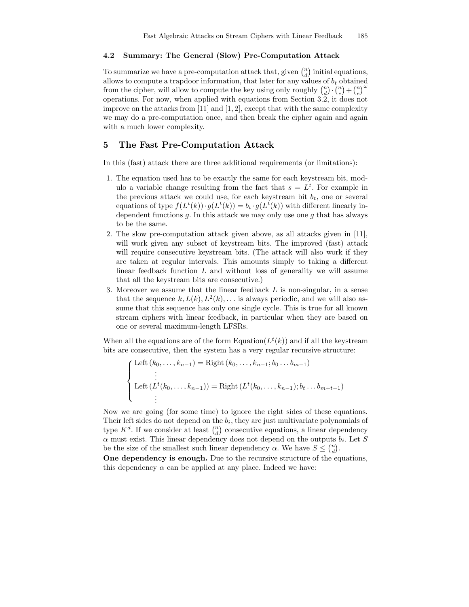#### 4.2 Summary: The General (Slow) Pre-Computation Attack

To summarize we have a pre-computation attack that, given  $\binom{n}{d}$  initial equations, allows to compute a trapdoor information, that later for any values of  $b_t$  obtained from the cipher, will allow to compute the key using only roughly  $\binom{n}{d} \cdot \binom{n}{e} + \binom{n}{e}^{\omega}$ operations. For now, when applied with equations from Section 3.2, it does not improve on the attacks from  $[11]$  and  $[1, 2]$ , except that with the same complexity we may do a pre-computation once, and then break the cipher again and again with a much lower complexity.

#### 5 The Fast Pre-Computation Attack

In this (fast) attack there are three additional requirements (or limitations):

- 1. The equation used has to be exactly the same for each keystream bit, modulo a variable change resulting from the fact that  $s = L<sup>t</sup>$ . For example in the previous attack we could use, for each keystream bit  $b_t$ , one or several equations of type  $f(L^t(k)) \cdot g(L^t(k)) = b_t \cdot g(L^t(k))$  with different linearly independent functions  $g$ . In this attack we may only use one  $g$  that has always to be the same.
- 2. The slow pre-computation attack given above, as all attacks given in [11], will work given any subset of keystream bits. The improved (fast) attack will require consecutive keystream bits. (The attack will also work if they are taken at regular intervals. This amounts simply to taking a different linear feedback function  $L$  and without loss of generality we will assume that all the keystream bits are consecutive.)
- 3. Moreover we assume that the linear feedback  $L$  is non-singular, in a sense that the sequence  $k, L(k), L^2(k), \ldots$  is always periodic, and we will also assume that this sequence has only one single cycle. This is true for all known stream ciphers with linear feedback, in particular when they are based on one or several maximum-length LFSRs.

When all the equations are of the form Equation( $L^t(k)$ ) and if all the keystream bits are consecutive, then the system has a very regular recursive structure:

$$
\begin{cases}\n\text{Left}(k_0, \dots, k_{n-1}) = \text{Right}(k_0, \dots, k_{n-1}; b_0 \dots b_{m-1}) \\
\vdots \\
\text{Left}(L^t(k_0, \dots, k_{n-1})) = \text{Right}(L^t(k_0, \dots, k_{n-1}); b_t \dots b_{m+t-1}) \\
\vdots\n\end{cases}
$$

Now we are going (for some time) to ignore the right sides of these equations. Their left sides do not depend on the  $b_i$ , they are just multivariate polynomials of type  $K^d$ . If we consider at least  $\binom{n}{d}$  consecutive equations, a linear dependency  $\alpha$  must exist. This linear dependency does not depend on the outputs  $b_i$ . Let S be the size of the smallest such linear dependency  $\alpha$ . We have  $S \leq {n \choose d}$ .

One dependency is enough. Due to the recursive structure of the equations, this dependency  $\alpha$  can be applied at any place. Indeed we have: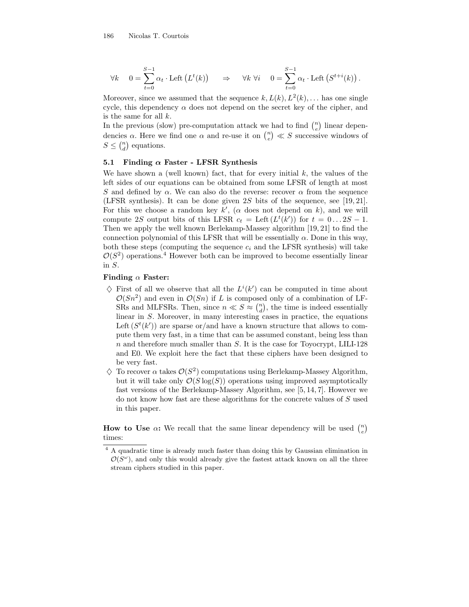$$
\forall k \quad 0 = \sum_{t=0}^{S-1} \alpha_t \cdot \text{Left}\left(L^t(k)\right) \quad \Rightarrow \quad \forall k \; \forall i \quad 0 = \sum_{t=0}^{S-1} \alpha_t \cdot \text{Left}\left(S^{t+i}(k)\right).
$$

Moreover, since we assumed that the sequence  $k, L(k), L^2(k), \ldots$  has one single cycle, this dependency  $\alpha$  does not depend on the secret key of the cipher, and is the same for all k.

In the previous (slow) pre-computation attack we had to find  $\binom{n}{e}$  linear dependencies  $\alpha$ . Here we find one  $\alpha$  and re-use it on  $\binom{n}{e} \ll S$  successive windows of  $S \leq {n \choose d}$  equations.

### 5.1 Finding  $\alpha$  Faster - LFSR Synthesis

We have shown a (well known) fact, that for every initial  $k$ , the values of the left sides of our equations can be obtained from some LFSR of length at most S and defined by  $\alpha$ . We can also do the reverse: recover  $\alpha$  from the sequence (LFSR synthesis). It can be done given 2S bits of the sequence, see [19, 21]. For this we choose a random key  $k'$ , ( $\alpha$  does not depend on k), and we will compute 2S output bits of this LFSR  $c_t = \text{Left}(L^t(k'))$  for  $t = 0...2S - 1$ . Then we apply the well known Berlekamp-Massey algorithm [19, 21] to find the connection polynomial of this LFSR that will be essentially  $\alpha$ . Done in this way, both these steps (computing the sequence  $c_i$  and the LFSR synthesis) will take  $\mathcal{O}(S^2)$  operations.<sup>4</sup> However both can be improved to become essentially linear in S.

#### Finding  $\alpha$  Faster:

- $\diamond$  First of all we observe that all the  $L^{i}(k')$  can be computed in time about  $\mathcal{O}(Sn^2)$  and even in  $\mathcal{O}(Sn)$  if L is composed only of a combination of LF-SRs and MLFSRs. Then, since  $n \ll S \approx {n \choose d}$ , the time is indeed essentially linear in S. Moreover, in many interesting cases in practice, the equations Left  $(S<sup>t</sup>(k<sup>t</sup>))$  are sparse or/and have a known structure that allows to compute them very fast, in a time that can be assumed constant, being less than  $n$  and therefore much smaller than  $S$ . It is the case for Toyocrypt, LILI-128 and E0. We exploit here the fact that these ciphers have been designed to be very fast.
- $\diamondsuit$  To recover  $\alpha$  takes  $\mathcal{O}(S^2)$  computations using Berlekamp-Massey Algorithm, but it will take only  $\mathcal{O}(S \log(S))$  operations using improved asymptotically fast versions of the Berlekamp-Massey Algorithm, see [5, 14, 7]. However we do not know how fast are these algorithms for the concrete values of S used in this paper.

How to Use  $\alpha$ : We recall that the same linear dependency will be used  $\binom{n}{e}$ times:

<sup>4</sup> A quadratic time is already much faster than doing this by Gaussian elimination in  $\mathcal{O}(S^{\omega})$ , and only this would already give the fastest attack known on all the three stream ciphers studied in this paper.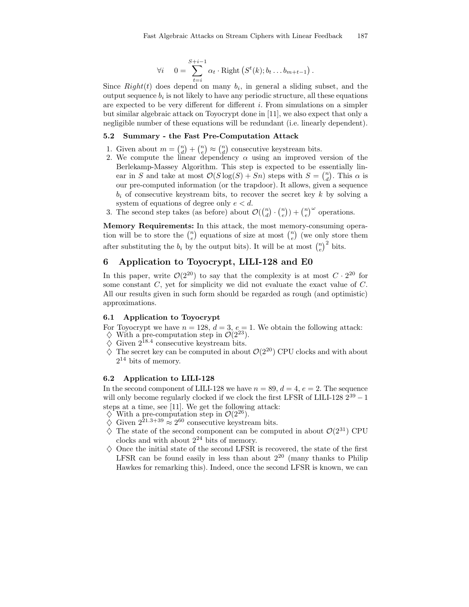$$
\forall i \quad 0 = \sum_{t=i}^{S+i-1} \alpha_t \cdot \text{Right} \left( S^t(k); b_t \dots b_{m+t-1} \right).
$$

Since  $Right(t)$  does depend on many  $b_i$ , in general a sliding subset, and the  $\text{output sequence } b_i \text{ is not likely to have any periodic structure, all these equations}$ are expected to be very different for different i. From simulations on a simpler but similar algebraic attack on Toyocrypt done in [11], we also expect that only a negligible number of these equations will be redundant (i.e. linearly dependent).

### 5.2 Summary - the Fast Pre-Computation Attack

- 1. Given about  $m = \binom{n}{d} + \binom{n}{e} \approx \binom{n}{d}$  consecutive keystream bits.
- 2. We compute the linear dependency  $\alpha$  using an improved version of the Berlekamp-Massey Algorithm. This step is expected to be essentially linear in S and take at most  $\mathcal{O}(S \log(S) + Sn)$  steps with  $S = \binom{n}{d}$ . This  $\alpha$  is our pre-computed information (or the trapdoor). It allows, given a sequence  $b_i$  of consecutive keystream bits, to recover the secret key k by solving a system of equations of degree only  $e < d$ .
- 3. The second step takes (as before) about  $\mathcal{O}(\binom{n}{d} \cdot \binom{n}{e} + \binom{n}{e}^{\omega}$  operations.

Memory Requirements: In this attack, the most memory-consuming operation will be to store the  $\binom{n}{e}$  equations of size at most  $\binom{n}{e}$  (we only store them after substituting the  $b_i$  by the output bits). It will be at most  $\binom{n}{e}^2$  bits.

## 6 Application to Toyocrypt, LILI-128 and E0

In this paper, write  $\mathcal{O}(2^{20})$  to say that the complexity is at most  $C \cdot 2^{20}$  for some constant  $C$ , yet for simplicity we did not evaluate the exact value of  $C$ . All our results given in such form should be regarded as rough (and optimistic) approximations.

#### 6.1 Application to Toyocrypt

- For Toyocrypt we have  $n = 128$ ,  $d = 3$ ,  $e = 1$ . We obtain the following attack:
- $\diamondsuit$  With a pre-computation step in  $\mathcal{O}(2^{23})$ .  $\diamondsuit$  Given  $2^{18.4}$  consecutive keystream bits.
- $\diamond$  The secret key can be computed in about  $\mathcal{O}(2^{20})$  CPU clocks and with about  $2^{14}$  bits of memory.

#### 6.2 Application to LILI-128

In the second component of LILI-128 we have  $n = 89$ ,  $d = 4$ ,  $e = 2$ . The sequence will only become regularly clocked if we clock the first LFSR of LILI-128  $2^{39} - 1$ steps at a time, see [11]. We get the following attack:

- $\diamondsuit$  With a pre-computation step in  $\mathcal{O}(2^{26})$ .
- $\diamondsuit$  Given  $2^{21.3+39} \approx 2^{60}$  consecutive keystream bits.
- $\diamond$  The state of the second component can be computed in about  $\mathcal{O}(2^{31})$  CPU clocks and with about  $2^{24}$  bits of memory.
- $\diamond$  Once the initial state of the second LFSR is recovered, the state of the first LFSR can be found easily in less than about  $2^{20}$  (many thanks to Philip Hawkes for remarking this). Indeed, once the second LFSR is known, we can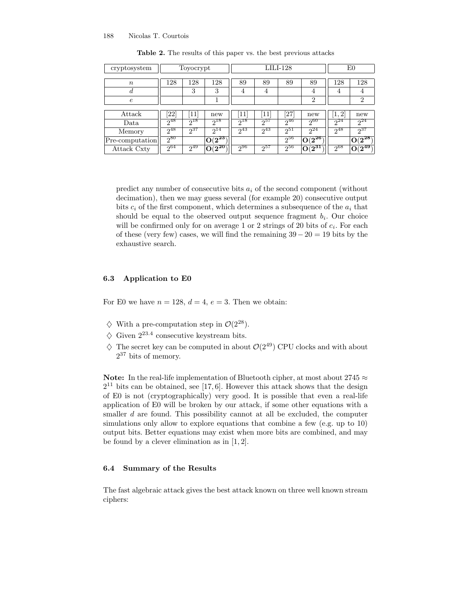| cryptosystem      | Toyocrypt   |                        |            | LILI-128    |          |                        | E0                   |          |                   |
|-------------------|-------------|------------------------|------------|-------------|----------|------------------------|----------------------|----------|-------------------|
|                   |             |                        |            |             |          |                        |                      |          |                   |
| $\boldsymbol{n}$  | 128         | 128                    | 128        | 89          | 89       | 89                     | 89                   | 128      | 128               |
| đ                 |             | 3                      | 3          | 4           | 4        |                        | 4                    | 4        | 4                 |
| $\epsilon$        |             |                        |            |             |          |                        | $\overline{2}$       |          | $\overline{2}$    |
|                   |             |                        |            |             |          |                        |                      |          |                   |
| $\text{Attack}{}$ | $22 \,$     | 11                     | new        | 11          | 11       | 27                     | new                  | 2        | new               |
| Data              | $\sqrt{48}$ | $\Omega$ <sup>18</sup> | $2^{18}$   | $\sqrt{18}$ | ე57      | $\gamma$ <sup>46</sup> | 260                  | 24       | 24                |
| Memory            | $2^{48}$    | $2^{37}$               | $2^{14}$   | 0.43        | $2^{43}$ | $2^{51}$               | 24                   | $2^{48}$ | $2^{3i}$          |
| Pre-computation   | $2^{80}$    |                        | $(2^{23})$ |             |          | -ე56                   | $(2^{26})$           |          | $^{\prime}2^{28}$ |
| Attack Cxty       | 2064        | $2^{49}$               | $O(2^{20}$ | $2^{96}$    | $2^{57}$ | $2^{56}$               | $\overline{(2^{31}}$ | $2^{68}$ | $(2^{49})$<br>റ   |

Table 2. The results of this paper vs. the best previous attacks

predict any number of consecutive bits  $a_i$  of the second component (without decimation), then we may guess several (for example 20) consecutive output bits  $c_i$  of the first component, which determines a subsequence of the  $a_i$  that should be equal to the observed output sequence fragment  $b_i$ . Our choice will be confirmed only for on average 1 or 2 strings of 20 bits of  $c_i$ . For each of these (very few) cases, we will find the remaining  $39-20=19$  bits by the exhaustive search.

### 6.3 Application to E0

For E0 we have  $n = 128$ ,  $d = 4$ ,  $e = 3$ . Then we obtain:

- $\diamondsuit$  With a pre-computation step in  $\mathcal{O}(2^{28})$ .
- $\diamondsuit$  Given  $2^{23.4}$  consecutive keystream bits.
- $\Diamond$  The secret key can be computed in about  $\mathcal{O}(2^{49})$  CPU clocks and with about 2 <sup>37</sup> bits of memory.

Note: In the real-life implementation of Bluetooth cipher, at most about 2745  $\approx$  $2^{11}$  bits can be obtained, see [17,6]. However this attack shows that the design of E0 is not (cryptographically) very good. It is possible that even a real-life application of E0 will be broken by our attack, if some other equations with a smaller d are found. This possibility cannot at all be excluded, the computer simulations only allow to explore equations that combine a few (e.g. up to 10) output bits. Better equations may exist when more bits are combined, and may be found by a clever elimination as in  $[1, 2]$ .

## 6.4 Summary of the Results

The fast algebraic attack gives the best attack known on three well known stream ciphers: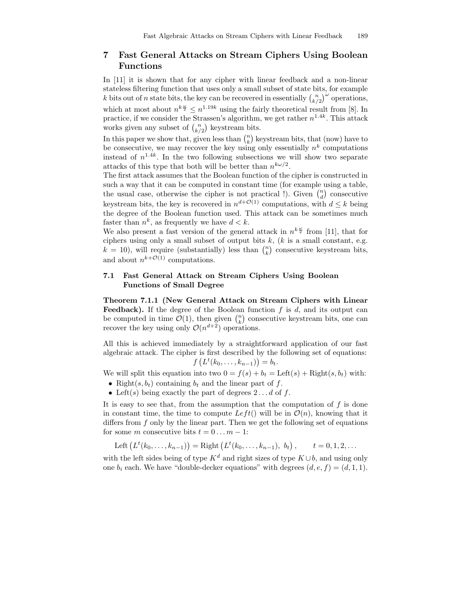## 7 Fast General Attacks on Stream Ciphers Using Boolean Functions

In [11] it is shown that for any cipher with linear feedback and a non-linear stateless filtering function that uses only a small subset of state bits, for example k bits out of n state bits, the key can be recovered in essentially  $\binom{n}{k/2}^{\omega}$  operations, which at most about  $n^k^{\frac{\omega}{2}} \leq n^{1.19k}$  using the fairly theoretical result from [8]. In practice, if we consider the Strassen's algorithm, we get rather  $n^{1.4k}$ . This attack works given any subset of  $\binom{n}{k/2}$  keystream bits.

In this paper we show that, given less than  $\binom{n}{k}$  keystream bits, that (now) have to be consecutive, we may recover the key using only essentially  $n^k$  computations instead of  $n^{1.4k}$ . In the two following subsections we will show two separate attacks of this type that both will be better than  $n^{k\omega/2}$ .

The first attack assumes that the Boolean function of the cipher is constructed in such a way that it can be computed in constant time (for example using a table, the usual case, otherwise the cipher is not practical !). Given  $\binom{n}{d}$  consecutive keystream bits, the key is recovered in  $n^{d+\mathcal{O}(1)}$  computations, with  $d \leq k$  being the degree of the Boolean function used. This attack can be sometimes much faster than  $n^k$ , as frequently we have  $d < k$ .

We also present a fast version of the general attack in  $n^k \frac{\omega}{2}$  from [11], that for ciphers using only a small subset of output bits  $k$ ,  $(k$  is a small constant, e.g.  $k = 10$ , will require (substantially) less than  $\binom{n}{k}$  consecutive keystream bits, and about  $n^{k+\mathcal{O}(1)}$  computations.

## 7.1 Fast General Attack on Stream Ciphers Using Boolean Functions of Small Degree

Theorem 7.1.1 (New General Attack on Stream Ciphers with Linear **Feedback).** If the degree of the Boolean function  $f$  is  $d$ , and its output can be computed in time  $\mathcal{O}(1)$ , then given  $\binom{n}{k}$  consecutive keystream bits, one can recover the key using only  $\mathcal{O}(n^{d+2})$  operations.

All this is achieved immediately by a straightforward application of our fast algebraic attack. The cipher is first described by the following set of equations:  $f(L^t(k_0,...,k_{n-1})) = b_t.$ 

We will split this equation into two  $0 = f(s) + b_t = \text{Left}(s) + \text{Right}(s, b_t)$  with:

- Right $(s, b_t)$  containing  $b_t$  and the linear part of f.
- Left(s) being exactly the part of degrees  $2 \ldots d$  of f.

It is easy to see that, from the assumption that the computation of  $f$  is done in constant time, the time to compute  $Left()$  will be in  $\mathcal{O}(n)$ , knowing that it differs from  $f$  only by the linear part. Then we get the following set of equations for some *m* consecutive bits  $t = 0 \dots m - 1$ :

Left 
$$
(L^t(k_0,...,k_{n-1}))
$$
 = Right  $(L^t(k_0,...,k_{n-1}), b_t)$ ,  $t = 0, 1, 2,...$ 

with the left sides being of type  $K^d$  and right sizes of type  $K \cup b$ , and using only one  $b_i$  each. We have "double-decker equations" with degrees  $(d, e, f) = (d, 1, 1)$ .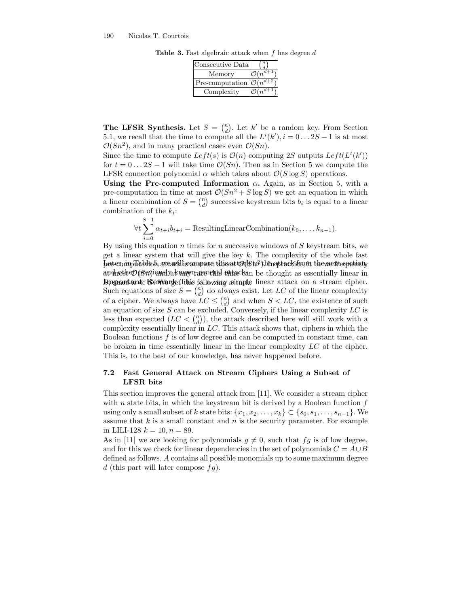| Consecutive Data                       |                    |
|----------------------------------------|--------------------|
| Memory                                 | $\mathcal{O}(n^d)$ |
| Pre-computation $\mathcal{O}(n^{d+1})$ |                    |
| Complexity                             | $O(n^d)$           |

**Table 3.** Fast algebraic attack when  $f$  has degree  $d$ 

**The LFSR Synthesis.** Let  $S = \begin{pmatrix} n \\ d \end{pmatrix}$ . Let  $k'$  be a random key. From Section 5.1, we recall that the time to compute all the  $L^{i}(k')$ ,  $i = 0...2S - 1$  is at most  $\mathcal{O}(Sn^2)$ , and in many practical cases even  $\mathcal{O}(Sn)$ .

Since the time to compute  $Left(s)$  is  $\mathcal{O}(n)$  computing 2S outputs  $Left(L^{t}(k'))$ for  $t = 0...2S - 1$  will take time  $\mathcal{O}(Sn)$ . Then as in Section 5 we compute the LFSR connection polynomial  $\alpha$  which takes about  $\mathcal{O}(S \log S)$  operations.

Using the Pre-computed Information  $\alpha$ . Again, as in Section 5, with a pre-computation in time at most  $\mathcal{O}(Sn^2 + S \log S)$  we get an equation in which a linear combination of  $S = \binom{n}{d}$  successive keystream bits  $b_i$  is equal to a linear combination of the  $k_i$ :

> $\forall t$  $\sum^{S-1}$  $i=0$  $\alpha_{t+i}b_{t+i} =$ ResultingLinearCombination $(k_0, \ldots, k_{n-1}).$

By using this equation n times for n successive windows of  $S$  keystream bits, we get a linear system that will give the key  $k$ . The complexity of the whole fast  $b$ et et $\alpha$ in Table 5, attackl is ampare this att $\phi$ (St $\beta$  ). In attack from the we steep timy and othe O(Seviewely known general attackan be thought as essentially linear in  $\mathop{\rm Sym}\nolimits$  ant Remark this following attaple linear attack on a stream cipher. Such equations of size  $S = \begin{pmatrix} n \\ d \end{pmatrix}$  do always exist. Let LC of the linear complexity of a cipher. We always have  $\overline{LC} \leq {n \choose d}$  and when  $S < LC$ , the existence of such an equation of size  $S$  can be excluded. Conversely, if the linear complexity  ${\cal LC}$  is less than expected  $(LC < \binom{n}{d})$ , the attack described here will still work with a complexity essentially linear in LC. This attack shows that, ciphers in which the Boolean functions  $f$  is of low degree and can be computed in constant time, can be broken in time essentially linear in the linear complexity LC of the cipher. This is, to the best of our knowledge, has never happened before.

## 7.2 Fast General Attack on Stream Ciphers Using a Subset of LFSR bits

This section improves the general attack from [11]. We consider a stream cipher with  $n$  state bits, in which the keystream bit is derived by a Boolean function  $f$ using only a small subset of k state bits:  $\{x_1, x_2, \ldots, x_k\} \subset \{s_0, s_1, \ldots, s_{n-1}\}.$  We assume that  $k$  is a small constant and  $n$  is the security parameter. For example in LILI-128  $k = 10, n = 89$ .

As in [11] we are looking for polynomials  $g \neq 0$ , such that fg is of low degree, and for this we check for linear dependencies in the set of polynomials  $C = A \cup B$ defined as follows. A contains all possible monomials up to some maximum degree d (this part will later compose  $fg$ ).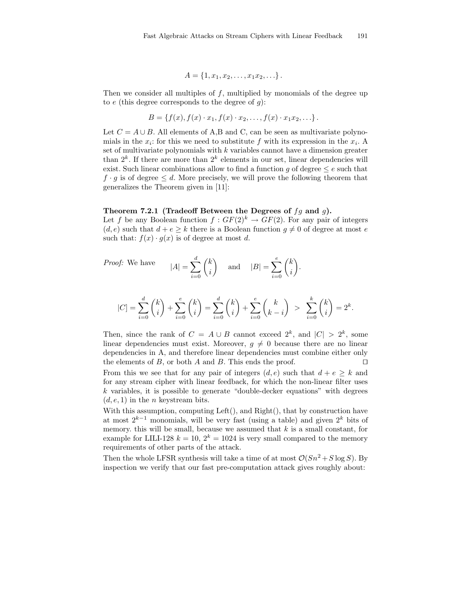$$
A = \{1, x_1, x_2, \ldots, x_1 x_2, \ldots\}.
$$

Then we consider all multiples of  $f$ , multiplied by monomials of the degree up to  $e$  (this degree corresponds to the degree of  $q$ ):

$$
B = \{f(x), f(x) \cdot x_1, f(x) \cdot x_2, \dots, f(x) \cdot x_1 x_2, \dots\}.
$$

Let  $C = A \cup B$ . All elements of A,B and C, can be seen as multivariate polynomials in the  $x_i$ : for this we need to substitute f with its expression in the  $x_i$ . A set of multivariate polynomials with  $k$  variables cannot have a dimension greater than  $2^k$ . If there are more than  $2^k$  elements in our set, linear dependencies will exist. Such linear combinations allow to find a function g of degree  $\leq e$  such that  $f \cdot q$  is of degree  $\leq d$ . More precisely, we will prove the following theorem that generalizes the Theorem given in [11]:

## Theorem 7.2.1 (Tradeoff Between the Degrees of  $fg$  and  $g$ ).

Let f be any Boolean function  $f: GF(2)^k \to GF(2)$ . For any pair of integers  $(d, e)$  such that  $d + e \geq k$  there is a Boolean function  $g \neq 0$  of degree at most e such that:  $f(x) \cdot g(x)$  is of degree at most d.

Proof: We have  $|A| = \sum$ d  $i=0$  $\sqrt{k}$ i ) and  $|B| = \sum_{n=1}^e$  $i=0$  $\sqrt{k}$ i ¶ .

$$
|C| = \sum_{i=0}^{d} {k \choose i} + \sum_{i=0}^{e} {k \choose i} = \sum_{i=0}^{d} {k \choose i} + \sum_{i=0}^{e} {k \choose k-i} > \sum_{i=0}^{k} {k \choose i} = 2^{k}.
$$

Then, since the rank of  $C = A \cup B$  cannot exceed  $2^k$ , and  $|C| > 2^k$ , some linear dependencies must exist. Moreover,  $q \neq 0$  because there are no linear dependencies in A, and therefore linear dependencies must combine either only the elements of B, or both A and B. This ends the proof.  $\square$ 

From this we see that for any pair of integers  $(d, e)$  such that  $d + e \geq k$  and for any stream cipher with linear feedback, for which the non-linear filter uses  $k$  variables, it is possible to generate "double-decker equations" with degrees  $(d, e, 1)$  in the *n* keystream bits.

With this assumption, computing Left(), and Right(), that by construction have at most  $2^{k-1}$  monomials, will be very fast (using a table) and given  $2^k$  bits of memory, this will be small, because we assumed that  $k$  is a small constant, for example for LILI-128  $k = 10, 2^k = 1024$  is very small compared to the memory requirements of other parts of the attack.

Then the whole LFSR synthesis will take a time of at most  $\mathcal{O}(Sn^2 + S \log S)$ . By inspection we verify that our fast pre-computation attack gives roughly about: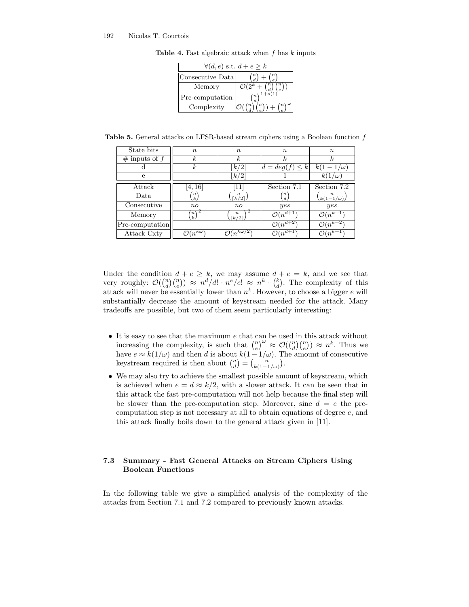| $\forall (d, e) \text{ s.t. } d+e \geq k$ |           |  |  |  |  |
|-------------------------------------------|-----------|--|--|--|--|
| Consecutive Data                          |           |  |  |  |  |
| Memory                                    |           |  |  |  |  |
| Pre-computation                           |           |  |  |  |  |
| Complexity                                | $\, n \,$ |  |  |  |  |

**Table 4.** Fast algebraic attack when  $f$  has  $k$  inputs

Table 5. General attacks on LFSR-based stream ciphers using a Boolean function  $f$ 

| State bits      | $\boldsymbol{n}$                     | $\boldsymbol{n}$                        | $\boldsymbol{n}$       | $\boldsymbol{n}$                                 |
|-----------------|--------------------------------------|-----------------------------------------|------------------------|--------------------------------------------------|
| # inputs of $f$ | k.                                   | $\kappa$                                | K.                     | $\kappa$                                         |
|                 | k.                                   | k/2                                     | $d = deg(f) \leq k$    | k(1)                                             |
| e               |                                      | k/2                                     |                        | k(1)<br>$\omega$                                 |
| Attack          | [4, 16]                              |                                         | Section 7.1            | Section 7.2                                      |
| Data            | $\boldsymbol{n}$<br>k <sub>1</sub>   | $\boldsymbol{n}$<br>$\lceil k/2 \rceil$ | $\boldsymbol{n}$<br>d  | $\boldsymbol{n}$<br>$\left(k(1-1/\omega)\right)$ |
| Consecutive     | $n_{O}$                              | $n_{O}$                                 | yes                    | yes                                              |
| Memory          | $\overline{\boldsymbol{n}}$<br>$k$ . | $\boldsymbol{n}$<br>$\lceil k/2 \rceil$ | $\mathcal{O}(n^{d+1})$ | $\mathcal{O}(n^{k+1})$                           |
| Pre-computation |                                      |                                         | $\mathcal{O}(n^{d+2})$ | $\cdot$ $(n^{k+2})$                              |
| Attack Cxty     | $\kappa \omega$<br>(n'               | $k\omega/2$<br>n                        | $\mathcal{O}(n^{d+1})$ | $\mathbf{u}^{k+1}$                               |

Under the condition  $d + e \geq k$ , we may assume  $d + e = k$ , and we see that very roughly:  $\mathcal{O}(\binom{n}{d}\binom{n}{e}) \approx n^d/d! \cdot n^e/e! \approx n^k \cdot \binom{k}{d}$ . The complexity of this attack will never be essentially lower than  $n^k$ . However, to choose a bigger e will substantially decrease the amount of keystream needed for the attack. Many tradeoffs are possible, but two of them seem particularly interesting:

- $\bullet~$  It is easy to see that the maximum  $e$  that can be used in this attack without increasing the complexity, is such that  $\binom{n}{e}^{\omega} \approx \mathcal{O}(\binom{n}{d}\binom{n}{e}) \approx n^k$ . Thus we have  $e \approx k(1/\omega)$  and then d is about  $k(1 - 1/\omega)$ . The amount of consecutive keystream required is then about  $\binom{n}{d} = \binom{n}{k(1-1/\omega)}$ .
- We may also try to achieve the smallest possible amount of keystream, which is achieved when  $e = d \approx k/2$ , with a slower attack. It can be seen that in this attack the fast pre-computation will not help because the final step will be slower than the pre-computation step. Moreover, sine  $d = e$  the precomputation step is not necessary at all to obtain equations of degree  $e$ , and this attack finally boils down to the general attack given in [11].

### 7.3 Summary - Fast General Attacks on Stream Ciphers Using Boolean Functions

In the following table we give a simplified analysis of the complexity of the attacks from Section 7.1 and 7.2 compared to previously known attacks.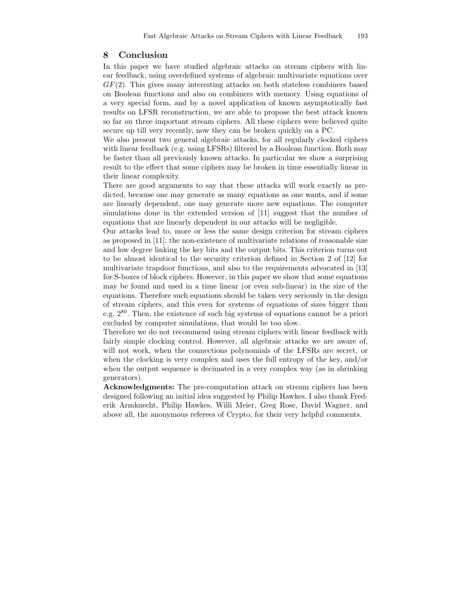## 8 Conclusion

In this paper we have studied algebraic attacks on stream ciphers with linear feedback, using overdefined systems of algebraic multivariate equations over  $GF(2)$ . This gives many interesting attacks on both stateless combiners based on Boolean functions and also on combiners with memory. Using equations of a very special form, and by a novel application of known asymptotically fast results on LFSR reconstruction, we are able to propose the best attack known so far on three important stream ciphers. All these ciphers were believed quite secure up till very recently, now they can be broken quickly on a PC.

We also present two general algebraic attacks, for all regularly clocked ciphers with linear feedback (e.g. using LFSRs) filtered by a Boolean function. Both may be faster than all previously known attacks. In particular we show a surprising result to the effect that some ciphers may be broken in time essentially linear in their linear complexity.

There are good arguments to say that these attacks will work exactly as predicted, because one may generate as many equations as one wants, and if some are linearly dependent, one may generate more new equations. The computer simulations done in the extended version of [11] suggest that the number of equations that are linearly dependent in our attacks will be negligible.

Our attacks lead to, more or less the same design criterion for stream ciphers as proposed in [11]: the non-existence of multivariate relations of reasonable size and low degree linking the key bits and the output bits. This criterion turns out to be almost identical to the security criterion defined in Section 2 of [12] for multivariate trapdoor functions, and also to the requirements advocated in [13] for S-boxes of block ciphers. However, in this paper we show that some equations may be found and used in a time linear (or even sub-linear) in the size of the equations. Therefore such equations should be taken very seriously in the design of stream ciphers, and this even for systems of equations of sizes bigger than e.g. 2 80 . Then, the existence of such big systems of equations cannot be a priori excluded by computer simulations, that would be too slow.

Therefore we do not recommend using stream ciphers with linear feedback with fairly simple clocking control. However, all algebraic attacks we are aware of, will not work, when the connections polynomials of the LFSRs are secret, or when the clocking is very complex and uses the full entropy of the key, and/or when the output sequence is decimated in a very complex way (as in shrinking generators).

Acknowledgments: The pre-computation attack on stream ciphers has been designed following an initial idea suggested by Philip Hawkes. I also thank Frederik Armknecht, Philip Hawkes, Willi Meier, Greg Rose, David Wagner, and above all, the anonymous referees of Crypto, for their very helpful comments.